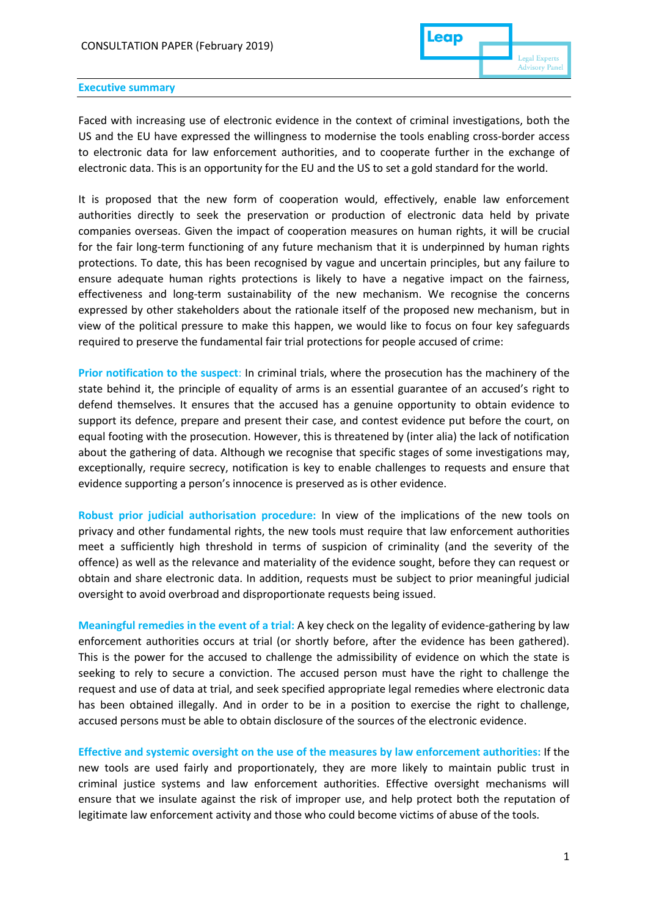

#### **Executive summary**

Faced with increasing use of electronic evidence in the context of criminal investigations, both the US and the EU have expressed the willingness to modernise the tools enabling cross-border access to electronic data for law enforcement authorities, and to cooperate further in the exchange of electronic data. This is an opportunity for the EU and the US to set a gold standard for the world.

It is proposed that the new form of cooperation would, effectively, enable law enforcement authorities directly to seek the preservation or production of electronic data held by private companies overseas. Given the impact of cooperation measures on human rights, it will be crucial for the fair long-term functioning of any future mechanism that it is underpinned by human rights protections. To date, this has been recognised by vague and uncertain principles, but any failure to ensure adequate human rights protections is likely to have a negative impact on the fairness, effectiveness and long-term sustainability of the new mechanism. We recognise the concerns expressed by other stakeholders about the rationale itself of the proposed new mechanism, but in view of the political pressure to make this happen, we would like to focus on four key safeguards required to preserve the fundamental fair trial protections for people accused of crime:

**Prior notification to the suspect**: In criminal trials, where the prosecution has the machinery of the state behind it, the principle of equality of arms is an essential guarantee of an accused's right to defend themselves. It ensures that the accused has a genuine opportunity to obtain evidence to support its defence, prepare and present their case, and contest evidence put before the court, on equal footing with the prosecution. However, this is threatened by (inter alia) the lack of notification about the gathering of data. Although we recognise that specific stages of some investigations may, exceptionally, require secrecy, notification is key to enable challenges to requests and ensure that evidence supporting a person's innocence is preserved as is other evidence.

**Robust prior judicial authorisation procedure:** In view of the implications of the new tools on privacy and other fundamental rights, the new tools must require that law enforcement authorities meet a sufficiently high threshold in terms of suspicion of criminality (and the severity of the offence) as well as the relevance and materiality of the evidence sought, before they can request or obtain and share electronic data. In addition, requests must be subject to prior meaningful judicial oversight to avoid overbroad and disproportionate requests being issued.

**Meaningful remedies in the event of a trial:** A key check on the legality of evidence-gathering by law enforcement authorities occurs at trial (or shortly before, after the evidence has been gathered). This is the power for the accused to challenge the admissibility of evidence on which the state is seeking to rely to secure a conviction. The accused person must have the right to challenge the request and use of data at trial, and seek specified appropriate legal remedies where electronic data has been obtained illegally. And in order to be in a position to exercise the right to challenge, accused persons must be able to obtain disclosure of the sources of the electronic evidence.

**Effective and systemic oversight on the use of the measures by law enforcement authorities:** If the new tools are used fairly and proportionately, they are more likely to maintain public trust in criminal justice systems and law enforcement authorities. Effective oversight mechanisms will ensure that we insulate against the risk of improper use, and help protect both the reputation of legitimate law enforcement activity and those who could become victims of abuse of the tools.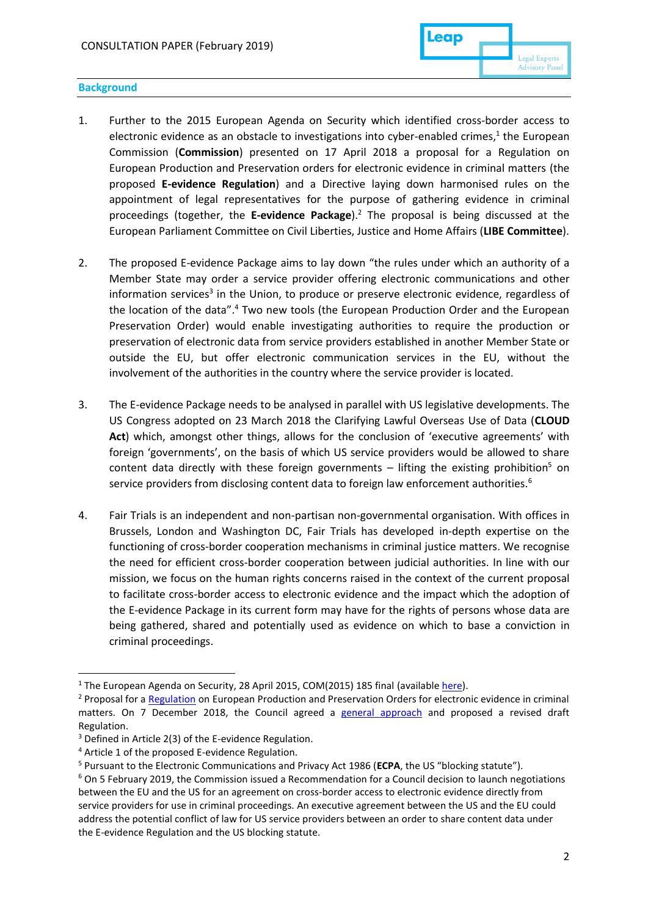### **Background**

- 1. Further to the 2015 European Agenda on Security which identified cross-border access to electronic evidence as an obstacle to investigations into cyber-enabled crimes,<sup>1</sup> the European Commission (**Commission**) presented on 17 April 2018 a proposal for a Regulation on European Production and Preservation orders for electronic evidence in criminal matters (the proposed **E-evidence Regulation**) and a Directive laying down harmonised rules on the appointment of legal representatives for the purpose of gathering evidence in criminal proceedings (together, the **E-evidence Package**).<sup>2</sup> The proposal is being discussed at the European Parliament Committee on Civil Liberties, Justice and Home Affairs (**LIBE Committee**).
- 2. The proposed E-evidence Package aims to lay down "the rules under which an authority of a Member State may order a service provider offering electronic communications and other information services<sup>3</sup> in the Union, to produce or preserve electronic evidence, regardless of the location of the data". <sup>4</sup> Two new tools (the European Production Order and the European Preservation Order) would enable investigating authorities to require the production or preservation of electronic data from service providers established in another Member State or outside the EU, but offer electronic communication services in the EU, without the involvement of the authorities in the country where the service provider is located.
- 3. The E-evidence Package needs to be analysed in parallel with US legislative developments. The US Congress adopted on 23 March 2018 the Clarifying Lawful Overseas Use of Data (**CLOUD Act**) which, amongst other things, allows for the conclusion of 'executive agreements' with foreign 'governments', on the basis of which US service providers would be allowed to share content data directly with these foreign governments – lifting the existing prohibition<sup>5</sup> on service providers from disclosing content data to foreign law enforcement authorities.<sup>6</sup>
- 4. Fair Trials is an independent and non-partisan non-governmental organisation. With offices in Brussels, London and Washington DC, Fair Trials has developed in-depth expertise on the functioning of cross-border cooperation mechanisms in criminal justice matters. We recognise the need for efficient cross-border cooperation between judicial authorities. In line with our mission, we focus on the human rights concerns raised in the context of the current proposal to facilitate cross-border access to electronic evidence and the impact which the adoption of the E-evidence Package in its current form may have for the rights of persons whose data are being gathered, shared and potentially used as evidence on which to base a conviction in criminal proceedings.

<sup>&</sup>lt;sup>1</sup> The European Agenda on Security, 28 April 2015, COM(2015) 185 final (available [here\)](https://ec.europa.eu/home-affairs/sites/homeaffairs/files/e-library/documents/basic-documents/docs/eu_agenda_on_security_en.pdf).

<sup>&</sup>lt;sup>2</sup> Proposal for a [Regulation](https://eur-lex.europa.eu/resource.html?uri=cellar:639c80c9-4322-11e8-a9f4-01aa75ed71a1.0001.02/DOC_1&format=PDF) on European Production and Preservation Orders for electronic evidence in criminal matters. On 7 December 2018, the Council agreed a [general approach](https://data.consilium.europa.eu/doc/document/ST-15292-2018-INIT/en/pdf) and proposed a revised draft Regulation.

<sup>3</sup> Defined in Article 2(3) of the E-evidence Regulation.

<sup>4</sup> Article 1 of the proposed E-evidence Regulation.

<sup>5</sup> Pursuant to the Electronic Communications and Privacy Act 1986 (**ECPA**, the US "blocking statute").

<sup>6</sup> On 5 February 2019, the Commission issued a Recommendation for a Council decision to launch negotiations between the EU and the US for an agreement on cross-border access to electronic evidence directly from service providers for use in criminal proceedings. An executive agreement between the US and the EU could address the potential conflict of law for US service providers between an order to share content data under the E-evidence Regulation and the US blocking statute.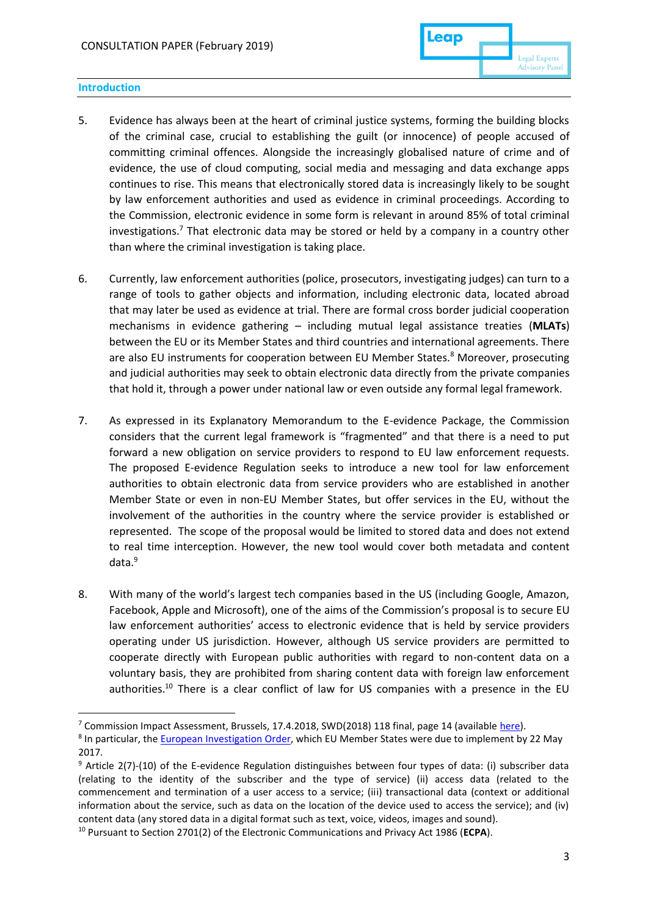### **Introduction**

- 5. Evidence has always been at the heart of criminal justice systems, forming the building blocks of the criminal case, crucial to establishing the guilt (or innocence) of people accused of committing criminal offences. Alongside the increasingly globalised nature of crime and of evidence, the use of cloud computing, social media and messaging and data exchange apps continues to rise. This means that electronically stored data is increasingly likely to be sought by law enforcement authorities and used as evidence in criminal proceedings. According to the Commission, electronic evidence in some form is relevant in around 85% of total criminal investigations.<sup>7</sup> That electronic data may be stored or held by a company in a country other than where the criminal investigation is taking place.
- 6. Currently, law enforcement authorities (police, prosecutors, investigating judges) can turn to a range of tools to gather objects and information, including electronic data, located abroad that may later be used as evidence at trial. There are formal cross border judicial cooperation mechanisms in evidence gathering – including mutual legal assistance treaties (**MLATs**) between the EU or its Member States and third countries and international agreements. There are also EU instruments for cooperation between EU Member States.<sup>8</sup> Moreover, prosecuting and judicial authorities may seek to obtain electronic data directly from the private companies that hold it, through a power under national law or even outside any formal legal framework.
- 7. As expressed in its Explanatory Memorandum to the E-evidence Package, the Commission considers that the current legal framework is "fragmented" and that there is a need to put forward a new obligation on service providers to respond to EU law enforcement requests. The proposed E-evidence Regulation seeks to introduce a new tool for law enforcement authorities to obtain electronic data from service providers who are established in another Member State or even in non-EU Member States, but offer services in the EU, without the involvement of the authorities in the country where the service provider is established or represented. The scope of the proposal would be limited to stored data and does not extend to real time interception. However, the new tool would cover both metadata and content data.<sup>9</sup>
- 8. With many of the world's largest tech companies based in the US (including Google, Amazon, Facebook, Apple and Microsoft), one of the aims of the Commission's proposal is to secure EU law enforcement authorities' access to electronic evidence that is held by service providers operating under US jurisdiction. However, although US service providers are permitted to cooperate directly with European public authorities with regard to non-content data on a voluntary basis, they are prohibited from sharing content data with foreign law enforcement authorities.<sup>10</sup> There is a clear conflict of law for US companies with a presence in the EU

 $7$  Commission Impact Assessment, Brussels, 17.4.2018, SWD(2018) 118 final, page 14 (available [here\)](https://eur-lex.europa.eu/legal-content/EN/TXT/PDF/?uri=CELEX:52018SC0118&from=EN)).

<sup>&</sup>lt;sup>8</sup> In particular, th[e European Investigation Order,](https://eur-lex.europa.eu/legal-content/EN/TXT/PDF/?uri=CELEX:32014L0041&from=EN) which EU Member States were due to implement by 22 May 2017.

<sup>9</sup> Article 2(7)-(10) of the E-evidence Regulation distinguishes between four types of data: (i) subscriber data (relating to the identity of the subscriber and the type of service) (ii) access data (related to the commencement and termination of a user access to a service; (iii) transactional data (context or additional information about the service, such as data on the location of the device used to access the service); and (iv) content data (any stored data in a digital format such as text, voice, videos, images and sound).

<sup>10</sup> Pursuant to Section 2701(2) of the Electronic Communications and Privacy Act 1986 (**ECPA**).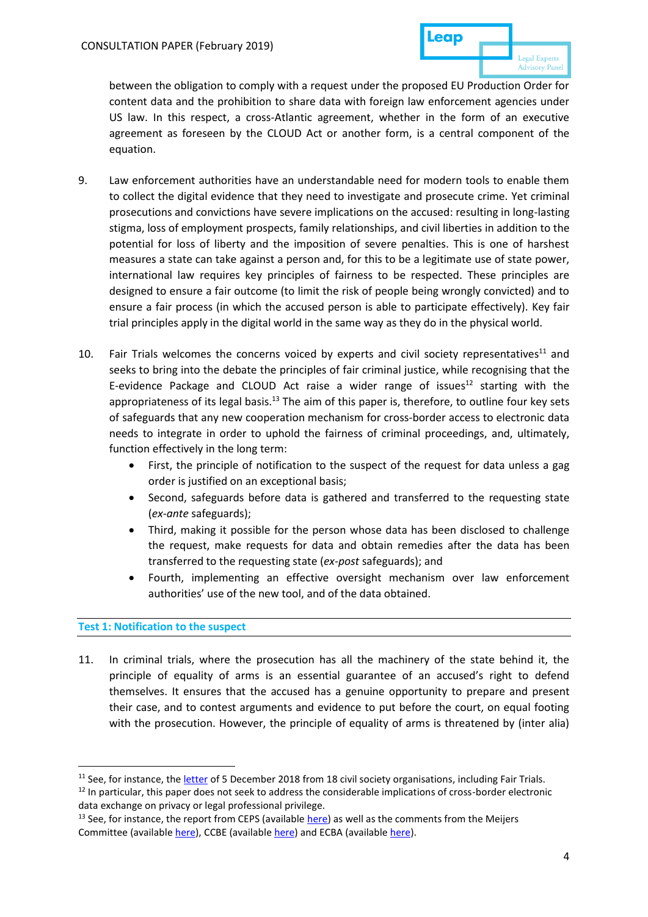between the obligation to comply with a request under the proposed EU Production Order for content data and the prohibition to share data with foreign law enforcement agencies under US law. In this respect, a cross-Atlantic agreement, whether in the form of an executive agreement as foreseen by the CLOUD Act or another form, is a central component of the equation.

- 9. Law enforcement authorities have an understandable need for modern tools to enable them to collect the digital evidence that they need to investigate and prosecute crime. Yet criminal prosecutions and convictions have severe implications on the accused: resulting in long-lasting stigma, loss of employment prospects, family relationships, and civil liberties in addition to the potential for loss of liberty and the imposition of severe penalties. This is one of harshest measures a state can take against a person and, for this to be a legitimate use of state power, international law requires key principles of fairness to be respected. These principles are designed to ensure a fair outcome (to limit the risk of people being wrongly convicted) and to ensure a fair process (in which the accused person is able to participate effectively). Key fair trial principles apply in the digital world in the same way as they do in the physical world.
- 10. Fair Trials welcomes the concerns voiced by experts and civil society representatives<sup>11</sup> and seeks to bring into the debate the principles of fair criminal justice, while recognising that the E-evidence Package and CLOUD Act raise a wider range of issues<sup>12</sup> starting with the appropriateness of its legal basis.<sup>13</sup> The aim of this paper is, therefore, to outline four key sets of safeguards that any new cooperation mechanism for cross-border access to electronic data needs to integrate in order to uphold the fairness of criminal proceedings, and, ultimately, function effectively in the long term:
	- First, the principle of notification to the suspect of the request for data unless a gag order is justified on an exceptional basis;
	- Second, safeguards before data is gathered and transferred to the requesting state (*ex-ante* safeguards);
	- Third, making it possible for the person whose data has been disclosed to challenge the request, make requests for data and obtain remedies after the data has been transferred to the requesting state (*ex-post* safeguards); and
	- Fourth, implementing an effective oversight mechanism over law enforcement authorities' use of the new tool, and of the data obtained.

# **Test 1: Notification to the suspect**

**.** 

11. In criminal trials, where the prosecution has all the machinery of the state behind it, the principle of equality of arms is an essential guarantee of an accused's right to defend themselves. It ensures that the accused has a genuine opportunity to prepare and present their case, and to contest arguments and evidence to put before the court, on equal footing with the prosecution. However, the principle of equality of arms is threatened by (inter alia)

<sup>&</sup>lt;sup>11</sup> See, for instance, the [letter](https://edri.org/growing-concerns-on-e-evidence-council-publishes-draft-general-approach/) of 5 December 2018 from 18 civil society organisations, including Fair Trials.

<sup>&</sup>lt;sup>12</sup> In particular, this paper does not seek to address the considerable implications of cross-border electronic data exchange on privacy or legal professional privilege.

 $13$  See, for instance, the report from CEPS (available [here\)](https://www.ceps.eu/system/files/MS%26GGF_JudicialCooperationInCriminalMatters.pdf) as well as the comments from the Meijers Committee (available [here\)](https://www.ccbe.eu/fileadmin/speciality_distribution/public/documents/SURVEILLANCE/SVL_Position_papers/EN_SVL_20181019_CCBE-position-on-Commission-proposal-Regulation-on-European-Production-and-Preservation-Orders-for-e-evidence.pdf), CCBE (availabl[e here\)](http://www.ecba.org/extdocserv/20190213-ECBAonEPOsEPROs_Final.pdf) and ECBA (available here).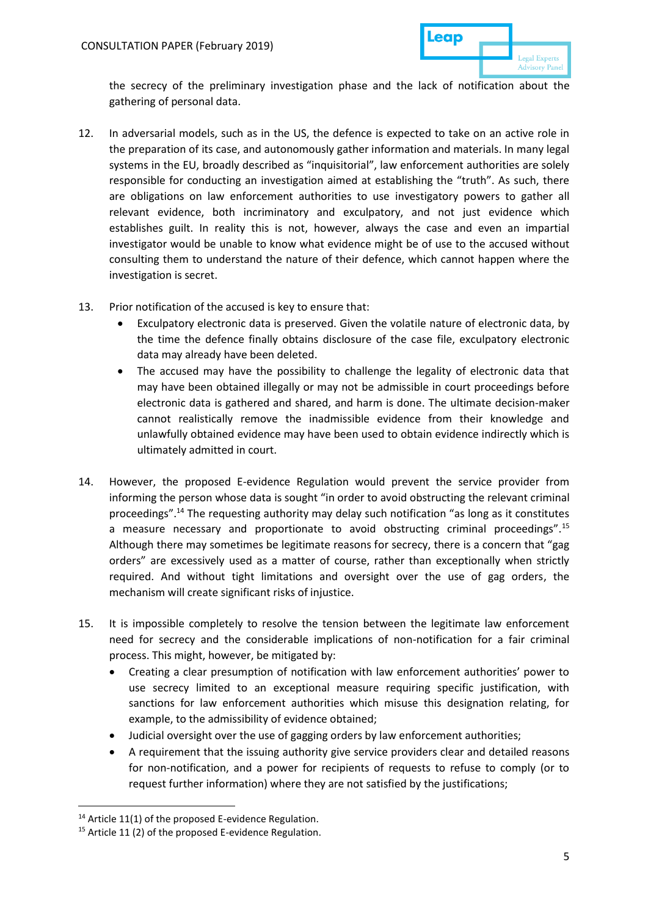

the secrecy of the preliminary investigation phase and the lack of notification about the gathering of personal data.

- 12. In adversarial models, such as in the US, the defence is expected to take on an active role in the preparation of its case, and autonomously gather information and materials. In many legal systems in the EU, broadly described as "inquisitorial", law enforcement authorities are solely responsible for conducting an investigation aimed at establishing the "truth". As such, there are obligations on law enforcement authorities to use investigatory powers to gather all relevant evidence, both incriminatory and exculpatory, and not just evidence which establishes guilt. In reality this is not, however, always the case and even an impartial investigator would be unable to know what evidence might be of use to the accused without consulting them to understand the nature of their defence, which cannot happen where the investigation is secret.
- 13. Prior notification of the accused is key to ensure that:
	- Exculpatory electronic data is preserved. Given the volatile nature of electronic data, by the time the defence finally obtains disclosure of the case file, exculpatory electronic data may already have been deleted.
	- The accused may have the possibility to challenge the legality of electronic data that may have been obtained illegally or may not be admissible in court proceedings before electronic data is gathered and shared, and harm is done. The ultimate decision-maker cannot realistically remove the inadmissible evidence from their knowledge and unlawfully obtained evidence may have been used to obtain evidence indirectly which is ultimately admitted in court.
- 14. However, the proposed E-evidence Regulation would prevent the service provider from informing the person whose data is sought "in order to avoid obstructing the relevant criminal proceedings".<sup>14</sup> The requesting authority may delay such notification "as long as it constitutes a measure necessary and proportionate to avoid obstructing criminal proceedings".<sup>15</sup> Although there may sometimes be legitimate reasons for secrecy, there is a concern that "gag orders" are excessively used as a matter of course, rather than exceptionally when strictly required. And without tight limitations and oversight over the use of gag orders, the mechanism will create significant risks of injustice.
- 15. It is impossible completely to resolve the tension between the legitimate law enforcement need for secrecy and the considerable implications of non-notification for a fair criminal process. This might, however, be mitigated by:
	- Creating a clear presumption of notification with law enforcement authorities' power to use secrecy limited to an exceptional measure requiring specific justification, with sanctions for law enforcement authorities which misuse this designation relating, for example, to the admissibility of evidence obtained;
	- Judicial oversight over the use of gagging orders by law enforcement authorities;
	- A requirement that the issuing authority give service providers clear and detailed reasons for non-notification, and a power for recipients of requests to refuse to comply (or to request further information) where they are not satisfied by the justifications;

 $14$  Article 11(1) of the proposed E-evidence Regulation.

<sup>&</sup>lt;sup>15</sup> Article 11 (2) of the proposed E-evidence Regulation.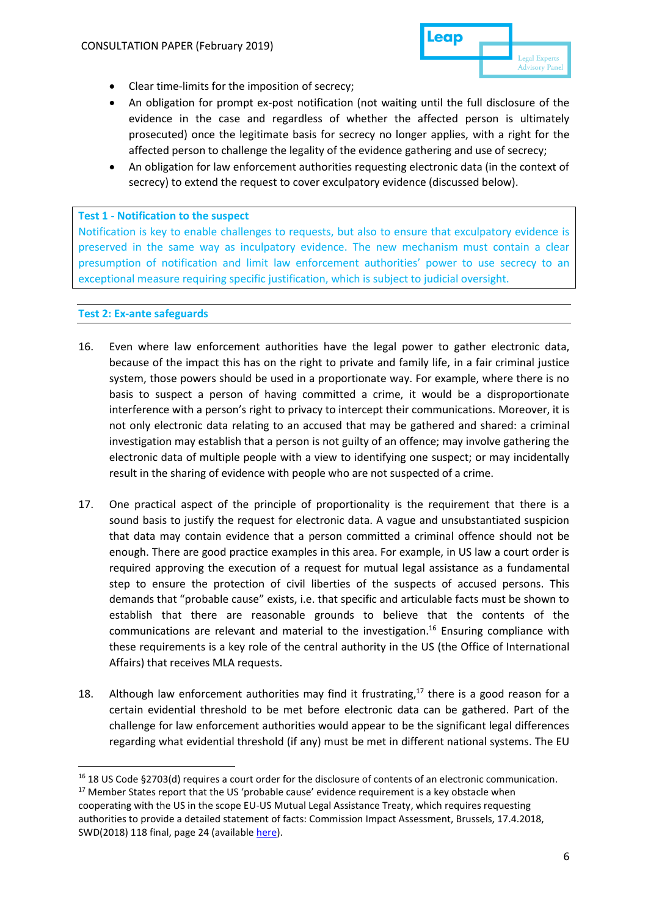

- Clear time-limits for the imposition of secrecy;
- An obligation for prompt ex-post notification (not waiting until the full disclosure of the evidence in the case and regardless of whether the affected person is ultimately prosecuted) once the legitimate basis for secrecy no longer applies, with a right for the affected person to challenge the legality of the evidence gathering and use of secrecy;
- An obligation for law enforcement authorities requesting electronic data (in the context of secrecy) to extend the request to cover exculpatory evidence (discussed below).

### **Test 1 - Notification to the suspect**

Notification is key to enable challenges to requests, but also to ensure that exculpatory evidence is preserved in the same way as inculpatory evidence. The new mechanism must contain a clear presumption of notification and limit law enforcement authorities' power to use secrecy to an exceptional measure requiring specific justification, which is subject to judicial oversight.

### **Test 2: Ex-ante safeguards**

- 16. Even where law enforcement authorities have the legal power to gather electronic data, because of the impact this has on the right to private and family life, in a fair criminal justice system, those powers should be used in a proportionate way. For example, where there is no basis to suspect a person of having committed a crime, it would be a disproportionate interference with a person's right to privacy to intercept their communications. Moreover, it is not only electronic data relating to an accused that may be gathered and shared: a criminal investigation may establish that a person is not guilty of an offence; may involve gathering the electronic data of multiple people with a view to identifying one suspect; or may incidentally result in the sharing of evidence with people who are not suspected of a crime.
- 17. One practical aspect of the principle of proportionality is the requirement that there is a sound basis to justify the request for electronic data. A vague and unsubstantiated suspicion that data may contain evidence that a person committed a criminal offence should not be enough. There are good practice examples in this area. For example, in US law a court order is required approving the execution of a request for mutual legal assistance as a fundamental step to ensure the protection of civil liberties of the suspects of accused persons. This demands that "probable cause" exists, i.e. that specific and articulable facts must be shown to establish that there are reasonable grounds to believe that the contents of the communications are relevant and material to the investigation.<sup>16</sup> Ensuring compliance with these requirements is a key role of the central authority in the US (the Office of International Affairs) that receives MLA requests.
- 18. Although law enforcement authorities may find it frustrating, $17$  there is a good reason for a certain evidential threshold to be met before electronic data can be gathered. Part of the challenge for law enforcement authorities would appear to be the significant legal differences regarding what evidential threshold (if any) must be met in different national systems. The EU

<sup>&</sup>lt;sup>16</sup> 18 US Code §2703(d) requires a court order for the disclosure of contents of an electronic communication.

 $17$  Member States report that the US 'probable cause' evidence requirement is a key obstacle when cooperating with the US in the scope EU-US Mutual Legal Assistance Treaty, which requires requesting authorities to provide a detailed statement of facts: Commission Impact Assessment, Brussels, 17.4.2018, SWD(2018) 118 final, page 24 (available [here\)](https://eurlex.europa.eu/legal-content/EN/TXT/PDF/?uri=CELEX:52018SC0118&from=EN).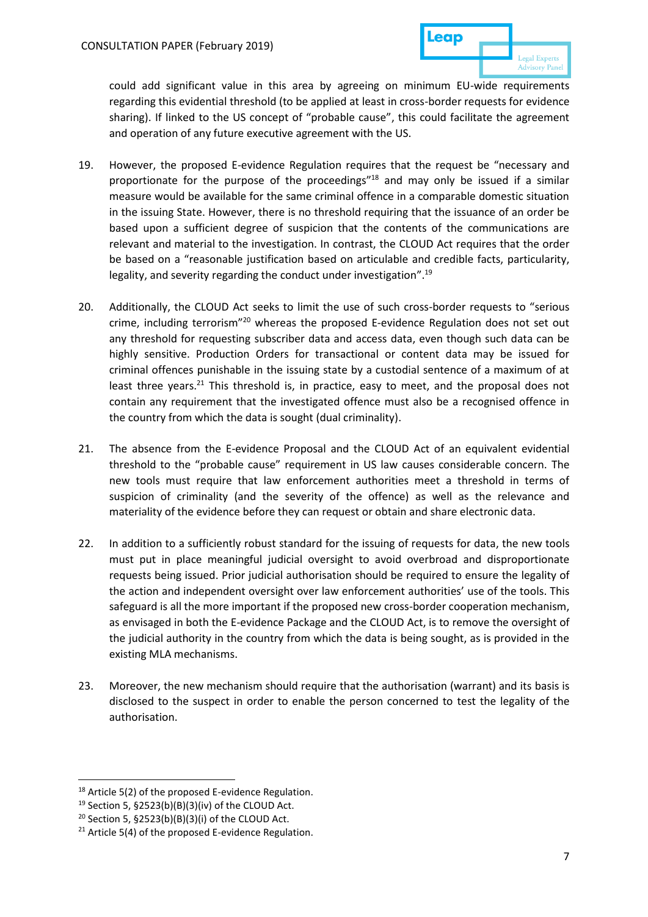could add significant value in this area by agreeing on minimum EU-wide requirements regarding this evidential threshold (to be applied at least in cross-border requests for evidence sharing). If linked to the US concept of "probable cause", this could facilitate the agreement and operation of any future executive agreement with the US.

- 19. However, the proposed E-evidence Regulation requires that the request be "necessary and proportionate for the purpose of the proceedings"<sup>18</sup> and may only be issued if a similar measure would be available for the same criminal offence in a comparable domestic situation in the issuing State. However, there is no threshold requiring that the issuance of an order be based upon a sufficient degree of suspicion that the contents of the communications are relevant and material to the investigation. In contrast, the CLOUD Act requires that the order be based on a "reasonable justification based on articulable and credible facts, particularity, legality, and severity regarding the conduct under investigation".<sup>19</sup>
- 20. Additionally, the CLOUD Act seeks to limit the use of such cross-border requests to "serious crime, including terrorism"<sup>20</sup> whereas the proposed E-evidence Regulation does not set out any threshold for requesting subscriber data and access data, even though such data can be highly sensitive. Production Orders for transactional or content data may be issued for criminal offences punishable in the issuing state by a custodial sentence of a maximum of at least three years.<sup>21</sup> This threshold is, in practice, easy to meet, and the proposal does not contain any requirement that the investigated offence must also be a recognised offence in the country from which the data is sought (dual criminality).
- 21. The absence from the E-evidence Proposal and the CLOUD Act of an equivalent evidential threshold to the "probable cause" requirement in US law causes considerable concern. The new tools must require that law enforcement authorities meet a threshold in terms of suspicion of criminality (and the severity of the offence) as well as the relevance and materiality of the evidence before they can request or obtain and share electronic data.
- 22. In addition to a sufficiently robust standard for the issuing of requests for data, the new tools must put in place meaningful judicial oversight to avoid overbroad and disproportionate requests being issued. Prior judicial authorisation should be required to ensure the legality of the action and independent oversight over law enforcement authorities' use of the tools. This safeguard is all the more important if the proposed new cross-border cooperation mechanism, as envisaged in both the E-evidence Package and the CLOUD Act, is to remove the oversight of the judicial authority in the country from which the data is being sought, as is provided in the existing MLA mechanisms.
- 23. Moreover, the new mechanism should require that the authorisation (warrant) and its basis is disclosed to the suspect in order to enable the person concerned to test the legality of the authorisation.

<sup>&</sup>lt;sup>18</sup> Article 5(2) of the proposed E-evidence Regulation.

<sup>19</sup> Section 5, §2523(b)(B)(3)(iv) of the CLOUD Act.

<sup>&</sup>lt;sup>20</sup> Section 5,  $$2523(b)(B)(3)(i)$  of the CLOUD Act.

 $21$  Article 5(4) of the proposed E-evidence Regulation.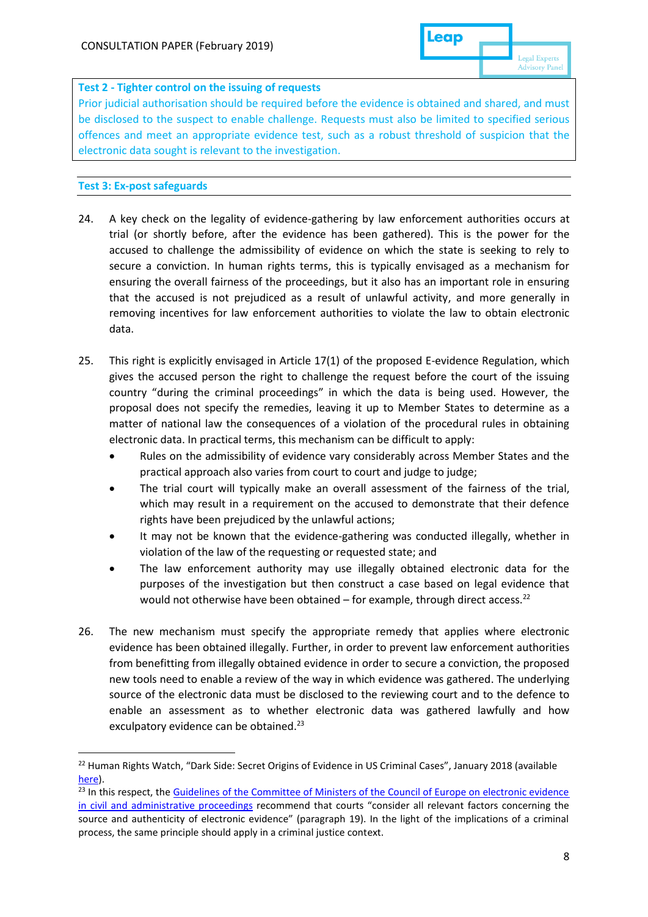## **Test 2 - Tighter control on the issuing of requests**

Prior judicial authorisation should be required before the evidence is obtained and shared, and must be disclosed to the suspect to enable challenge. Requests must also be limited to specified serious offences and meet an appropriate evidence test, such as a robust threshold of suspicion that the electronic data sought is relevant to the investigation.

## **Test 3: Ex-post safeguards**

- 24. A key check on the legality of evidence-gathering by law enforcement authorities occurs at trial (or shortly before, after the evidence has been gathered). This is the power for the accused to challenge the admissibility of evidence on which the state is seeking to rely to secure a conviction. In human rights terms, this is typically envisaged as a mechanism for ensuring the overall fairness of the proceedings, but it also has an important role in ensuring that the accused is not prejudiced as a result of unlawful activity, and more generally in removing incentives for law enforcement authorities to violate the law to obtain electronic data.
- 25. This right is explicitly envisaged in Article 17(1) of the proposed E-evidence Regulation, which gives the accused person the right to challenge the request before the court of the issuing country "during the criminal proceedings" in which the data is being used. However, the proposal does not specify the remedies, leaving it up to Member States to determine as a matter of national law the consequences of a violation of the procedural rules in obtaining electronic data. In practical terms, this mechanism can be difficult to apply:
	- Rules on the admissibility of evidence vary considerably across Member States and the practical approach also varies from court to court and judge to judge;
	- The trial court will typically make an overall assessment of the fairness of the trial, which may result in a requirement on the accused to demonstrate that their defence rights have been prejudiced by the unlawful actions;
	- It may not be known that the evidence-gathering was conducted illegally, whether in violation of the law of the requesting or requested state; and
	- The law enforcement authority may use illegally obtained electronic data for the purposes of the investigation but then construct a case based on legal evidence that would not otherwise have been obtained – for example, through direct access.<sup>22</sup>
- 26. The new mechanism must specify the appropriate remedy that applies where electronic evidence has been obtained illegally. Further, in order to prevent law enforcement authorities from benefitting from illegally obtained evidence in order to secure a conviction, the proposed new tools need to enable a review of the way in which evidence was gathered. The underlying source of the electronic data must be disclosed to the reviewing court and to the defence to enable an assessment as to whether electronic data was gathered lawfully and how exculpatory evidence can be obtained.<sup>23</sup>

<sup>&</sup>lt;sup>22</sup> Human Rights Watch, "Dark Side: Secret Origins of Evidence in US Criminal Cases", January 2018 (available [here\)](https://www.hrw.org/report/2018/01/09/dark-side/secret-origins-evidence-us-criminal-cases).

<sup>&</sup>lt;sup>23</sup> In this respect, the Guidelines of the Committee of Ministers of the Council of Europe on electronic evidence [in civil and administrative proceedings](https://search.coe.int/cm/Pages/result_details.aspx?ObjectId=0900001680902e0c) recommend that courts "consider all relevant factors concerning the source and authenticity of electronic evidence" (paragraph 19). In the light of the implications of a criminal process, the same principle should apply in a criminal justice context.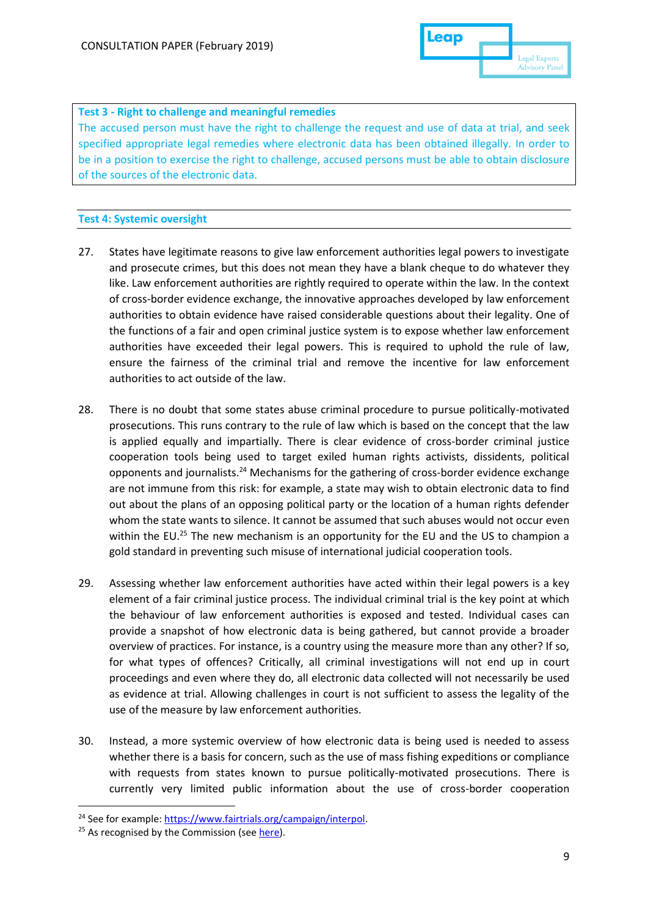

## **Test 3 - Right to challenge and meaningful remedies**

The accused person must have the right to challenge the request and use of data at trial, and seek specified appropriate legal remedies where electronic data has been obtained illegally. In order to be in a position to exercise the right to challenge, accused persons must be able to obtain disclosure of the sources of the electronic data.

### **Test 4: Systemic oversight**

- 27. States have legitimate reasons to give law enforcement authorities legal powers to investigate and prosecute crimes, but this does not mean they have a blank cheque to do whatever they like. Law enforcement authorities are rightly required to operate within the law. In the context of cross-border evidence exchange, the innovative approaches developed by law enforcement authorities to obtain evidence have raised considerable questions about their legality. One of the functions of a fair and open criminal justice system is to expose whether law enforcement authorities have exceeded their legal powers. This is required to uphold the rule of law, ensure the fairness of the criminal trial and remove the incentive for law enforcement authorities to act outside of the law.
- 28. There is no doubt that some states abuse criminal procedure to pursue politically-motivated prosecutions. This runs contrary to the rule of law which is based on the concept that the law is applied equally and impartially. There is clear evidence of cross-border criminal justice cooperation tools being used to target exiled human rights activists, dissidents, political opponents and journalists.<sup>24</sup> Mechanisms for the gathering of cross-border evidence exchange are not immune from this risk: for example, a state may wish to obtain electronic data to find out about the plans of an opposing political party or the location of a human rights defender whom the state wants to silence. It cannot be assumed that such abuses would not occur even within the EU.<sup>25</sup> The new mechanism is an opportunity for the EU and the US to champion a gold standard in preventing such misuse of international judicial cooperation tools.
- 29. Assessing whether law enforcement authorities have acted within their legal powers is a key element of a fair criminal justice process. The individual criminal trial is the key point at which the behaviour of law enforcement authorities is exposed and tested. Individual cases can provide a snapshot of how electronic data is being gathered, but cannot provide a broader overview of practices. For instance, is a country using the measure more than any other? If so, for what types of offences? Critically, all criminal investigations will not end up in court proceedings and even where they do, all electronic data collected will not necessarily be used as evidence at trial. Allowing challenges in court is not sufficient to assess the legality of the use of the measure by law enforcement authorities.
- 30. Instead, a more systemic overview of how electronic data is being used is needed to assess whether there is a basis for concern, such as the use of mass fishing expeditions or compliance with requests from states known to pursue politically-motivated prosecutions. There is currently very limited public information about the use of cross-border cooperation

<sup>&</sup>lt;sup>24</sup> See for example: [https://www.fairtrials.org/campaign/interpol.](https://www.fairtrials.org/campaign/interpol)

<sup>&</sup>lt;sup>25</sup> As recognised by the Commission (see [here\)](https://ec.europa.eu/info/policies/justice-and-fundamentalrights/effective-justice/rule-law/rule-law-framework_en).